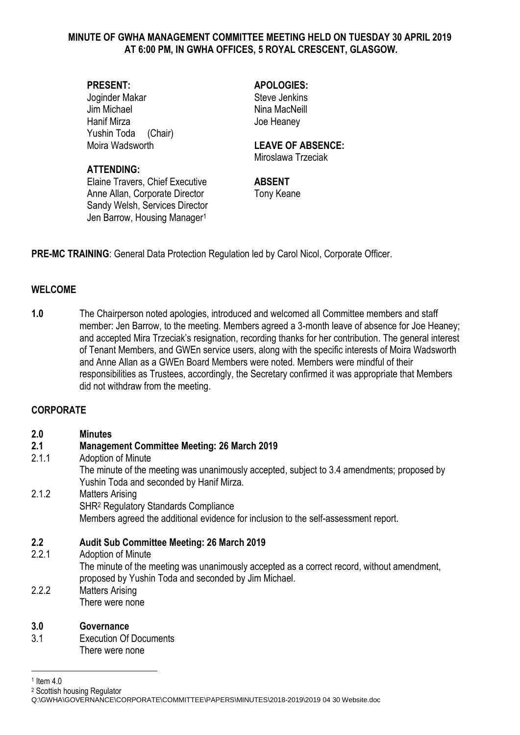### **MINUTE OF GWHA MANAGEMENT COMMITTEE MEETING HELD ON TUESDAY 30 APRIL 2019 AT 6:00 PM, IN GWHA OFFICES, 5 ROYAL CRESCENT, GLASGOW.**

Joginder Makar Steve Jenkins Jim Michael **Nina MacNeill** Hanif Mirza **Hanif Mirza** Joe Heaney Yushin Toda (Chair)

## **ATTENDING:**

Elaine Travers, Chief Executive **ABSENT** Anne Allan, Corporate Director Tony Keane Sandy Welsh, Services Director Jen Barrow, Housing Manager<sup>1</sup>

**PRESENT: APOLOGIES:**

## Moira Wadsworth **LEAVE OF ABSENCE:**

Miroslawa Trzeciak

**PRE-MC TRAINING**: General Data Protection Regulation led by Carol Nicol, Corporate Officer.

## **WELCOME**

**1.0** The Chairperson noted apologies, introduced and welcomed all Committee members and staff member: Jen Barrow, to the meeting. Members agreed a 3-month leave of absence for Joe Heaney; and accepted Mira Trzeciak's resignation, recording thanks for her contribution. The general interest of Tenant Members, and GWEn service users, along with the specific interests of Moira Wadsworth and Anne Allan as a GWEn Board Members were noted. Members were mindful of their responsibilities as Trustees, accordingly, the Secretary confirmed it was appropriate that Members did not withdraw from the meeting.

## **CORPORATE**

## **2.0 Minutes**

## **2.1 Management Committee Meeting: 26 March 2019**

2.1.1 Adoption of Minute

The minute of the meeting was unanimously accepted, subject to 3.4 amendments; proposed by Yushin Toda and seconded by Hanif Mirza.

## 2.1.2 Matters Arising SHR<sup>2</sup> Regulatory Standards Compliance Members agreed the additional evidence for inclusion to the self-assessment report.

## **2.2 Audit Sub Committee Meeting: 26 March 2019**

- 2.2.1 Adoption of Minute The minute of the meeting was unanimously accepted as a correct record, without amendment, proposed by Yushin Toda and seconded by Jim Michael. 2.2.2 Matters Arising
	- There were none

# **3.0 Governance**

3.1 Execution Of Documents There were none

1

<sup>2</sup> Scottish housing Regulator

<sup>1</sup> Item 4.0

Q:\GWHA\GOVERNANCE\CORPORATE\COMMITTEE\PAPERS\MINUTES\2018-2019\2019 04 30 Website.doc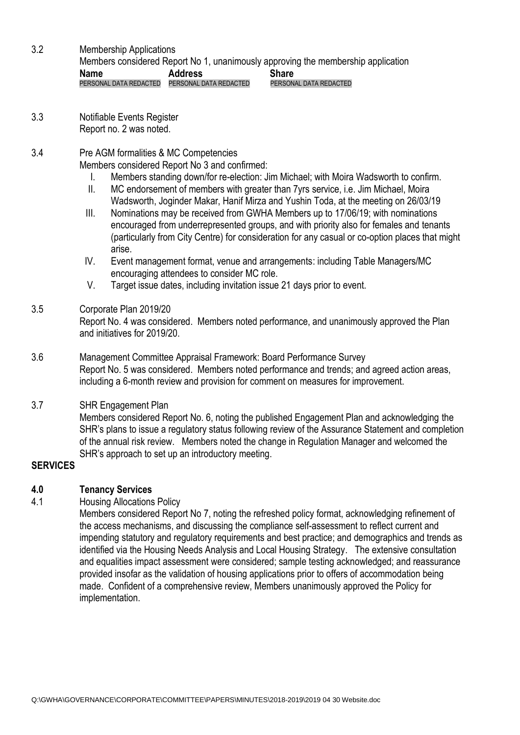- 3.2 Membership Applications Members considered Report No 1, unanimously approving the membership application **Name** Address Share PERSONAL DATA REDACTED PERSONAL DATA REDACTED PERSONAL DATA REDACTED
- 3.3 Notifiable Events Register Report no. 2 was noted.
- 3.4 Pre AGM formalities & MC Competencies

Members considered Report No 3 and confirmed:

- I. Members standing down/for re-election: Jim Michael; with Moira Wadsworth to confirm.
- II. MC endorsement of members with greater than 7yrs service, i.e. Jim Michael, Moira Wadsworth, Joginder Makar, Hanif Mirza and Yushin Toda, at the meeting on 26/03/19
- III. Nominations may be received from GWHA Members up to 17/06/19; with nominations encouraged from underrepresented groups, and with priority also for females and tenants (particularly from City Centre) for consideration for any casual or co-option places that might arise.
- IV. Event management format, venue and arrangements: including Table Managers/MC encouraging attendees to consider MC role.
- V. Target issue dates, including invitation issue 21 days prior to event.

# 3.5 Corporate Plan 2019/20

Report No. 4 was considered. Members noted performance, and unanimously approved the Plan and initiatives for 2019/20.

3.6 Management Committee Appraisal Framework: Board Performance Survey Report No. 5 was considered. Members noted performance and trends; and agreed action areas, including a 6-month review and provision for comment on measures for improvement.

# 3.7 SHR Engagement Plan

Members considered Report No. 6, noting the published Engagement Plan and acknowledging the SHR's plans to issue a regulatory status following review of the Assurance Statement and completion of the annual risk review. Members noted the change in Regulation Manager and welcomed the SHR's approach to set up an introductory meeting.

# **SERVICES**

# **4.0 Tenancy Services**

# 4.1 Housing Allocations Policy

Members considered Report No 7, noting the refreshed policy format, acknowledging refinement of the access mechanisms, and discussing the compliance self-assessment to reflect current and impending statutory and regulatory requirements and best practice; and demographics and trends as identified via the Housing Needs Analysis and Local Housing Strategy. The extensive consultation and equalities impact assessment were considered; sample testing acknowledged; and reassurance provided insofar as the validation of housing applications prior to offers of accommodation being made. Confident of a comprehensive review, Members unanimously approved the Policy for implementation.